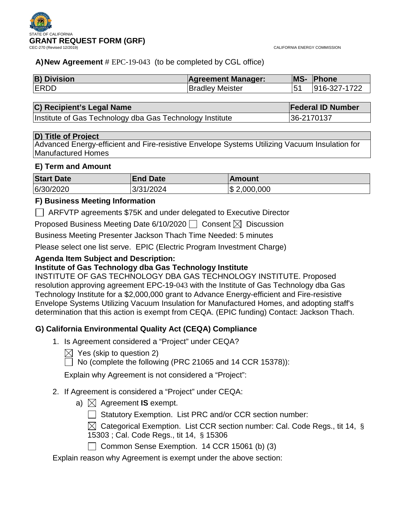

# **A)New Agreement** # EPC-19-043 (to be completed by CGL office)

| <b>B) Division</b> | <b>Agreement Manager:</b> | MS- | <b>Phone</b> |
|--------------------|---------------------------|-----|--------------|
| <b>ERDD</b>        | <b>Bradley Meister</b>    |     | 916-327-1722 |

# **C) Recipient's Legal Name Federal ID Number**

Institute of Gas Technology dba Gas Technology Institute | 36-2170137

#### **D) Title of Project**

Advanced Energy-efficient and Fire-resistive Envelope Systems Utilizing Vacuum Insulation for Manufactured Homes

#### **E) Term and Amount**

| <b>Start Date</b> | <b>End Date</b> | ⊺Amount         |
|-------------------|-----------------|-----------------|
| 6/30/2020         | 3/31/2024       | $\$\,2,000,000$ |

# **F) Business Meeting Information**

ARFVTP agreements \$75K and under delegated to Executive Director

Proposed Business Meeting Date 6/10/2020  $\Box$  Consent  $\boxtimes$  Discussion

Business Meeting Presenter Jackson Thach Time Needed: 5 minutes

Please select one list serve. EPIC (Electric Program Investment Charge)

# **Agenda Item Subject and Description:**

# **Institute of Gas Technology dba Gas Technology Institute**

INSTITUTE OF GAS TECHNOLOGY DBA GAS TECHNOLOGY INSTITUTE. Proposed resolution approving agreement EPC-19-043 with the Institute of Gas Technology dba Gas Technology Institute for a \$2,000,000 grant to Advance Energy-efficient and Fire-resistive Envelope Systems Utilizing Vacuum Insulation for Manufactured Homes, and adopting staff's determination that this action is exempt from CEQA. (EPIC funding) Contact: Jackson Thach.

# **G) California Environmental Quality Act (CEQA) Compliance**

- 1. Is Agreement considered a "Project" under CEQA?
	- $\boxtimes$  Yes (skip to question 2)
	- $\Box$  No (complete the following (PRC 21065 and 14 CCR 15378)):

Explain why Agreement is not considered a "Project":

# 2. If Agreement is considered a "Project" under CEQA:

- a)  $\boxtimes$  Agreement **IS** exempt.
	- $\Box$  Statutory Exemption. List PRC and/or CCR section number:
	- $\boxtimes$  Categorical Exemption. List CCR section number: Cal. Code Regs., tit 14, § 15303 ; Cal. Code Regs., tit 14, § 15306
	- □ Common Sense Exemption. 14 CCR 15061 (b) (3)

Explain reason why Agreement is exempt under the above section: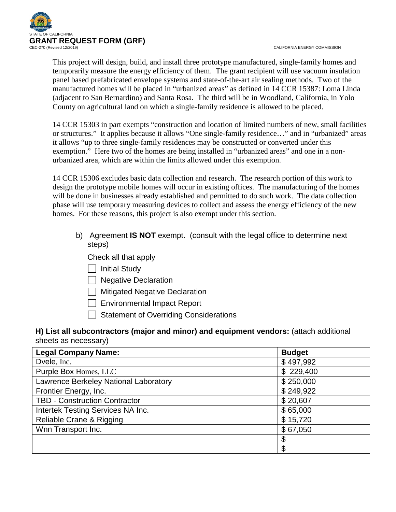

CALIFORNIA ENERGY COMMISSION

This project will design, build, and install three prototype manufactured, single-family homes and temporarily measure the energy efficiency of them. The grant recipient will use vacuum insulation panel based prefabricated envelope systems and state-of-the-art air sealing methods. Two of the manufactured homes will be placed in "urbanized areas" as defined in 14 CCR 15387: Loma Linda (adjacent to San Bernardino) and Santa Rosa. The third will be in Woodland, California, in Yolo County on agricultural land on which a single-family residence is allowed to be placed.

14 CCR 15303 in part exempts "construction and location of limited numbers of new, small facilities or structures." It applies because it allows "One single-family residence…" and in "urbanized" areas it allows "up to three single-family residences may be constructed or converted under this exemption." Here two of the homes are being installed in "urbanized areas" and one in a nonurbanized area, which are within the limits allowed under this exemption.

14 CCR 15306 excludes basic data collection and research. The research portion of this work to design the prototype mobile homes will occur in existing offices. The manufacturing of the homes will be done in businesses already established and permitted to do such work. The data collection phase will use temporary measuring devices to collect and assess the energy efficiency of the new homes. For these reasons, this project is also exempt under this section.

b) Agreement **IS NOT** exempt. (consult with the legal office to determine next steps)

Check all that apply

 $\Box$  Initial Study

□ Negative Declaration

 $\Box$  Mitigated Negative Declaration

 $\Box$  Environmental Impact Report

 $\Box$  Statement of Overriding Considerations

# **H) List all subcontractors (major and minor) and equipment vendors:** (attach additional sheets as necessary)

| <b>Legal Company Name:</b>            | <b>Budget</b> |
|---------------------------------------|---------------|
| Dvele, Inc.                           | \$497,992     |
| Purple Box Homes, LLC                 | \$229,400     |
| Lawrence Berkeley National Laboratory | \$250,000     |
| Frontier Energy, Inc.                 | \$249,922     |
| <b>TBD - Construction Contractor</b>  | \$20,607      |
| Intertek Testing Services NA Inc.     | \$65,000      |
| Reliable Crane & Rigging              | \$15,720      |
| Wnn Transport Inc.                    | \$67,050      |
|                                       | \$            |
|                                       | \$            |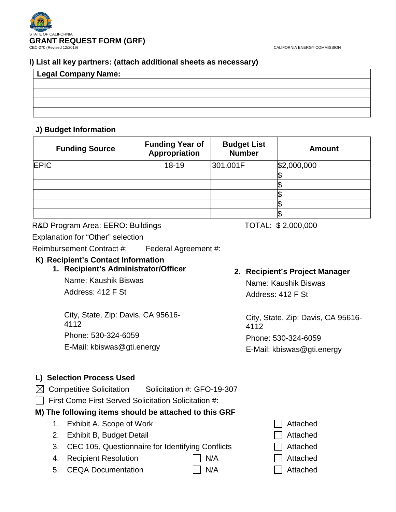# **I) List all key partners: (attach additional sheets as necessary)**

| Legal Company Name: |  |  |
|---------------------|--|--|
|                     |  |  |
|                     |  |  |
|                     |  |  |
|                     |  |  |

# **J) Budget Information**

| <b>Funding Source</b> | <b>Funding Year of</b><br>Appropriation | <b>Budget List</b><br><b>Number</b> | <b>Amount</b> |
|-----------------------|-----------------------------------------|-------------------------------------|---------------|
| <b>EPIC</b>           | 18-19                                   | 301.001F                            | \$2,000,000   |
|                       |                                         |                                     |               |
|                       |                                         |                                     |               |
|                       |                                         |                                     |               |
|                       |                                         |                                     |               |
|                       |                                         |                                     |               |

# R&D Program Area: EERO: Buildings TOTAL: \$2,000,000

Explanation for "Other" selection

Reimbursement Contract #: Federal Agreement #:

# **K) Recipient's Contact Information**

**1. Recipient's Administrator/Officer** Name: Kaushik Biswas

Address: 412 F St

City, State, Zip: Davis, CA 95616- 4112 Phone: 530-324-6059 E-Mail: kbiswas@gti.energy

# **2. Recipient's Project Manager**

Name: Kaushik Biswas Address: 412 F St

City, State, Zip: Davis, CA 95616- 4112 Phone: 530-324-6059

E-Mail: kbiswas@gti.energy

# **L) Selection Process Used**

 $\boxtimes$  Competitive Solicitation Solicitation #: GFO-19-307

 $\Box$  First Come First Served Solicitation Solicitation #:

# **M) The following items should be attached to this GRF**

- 1. Exhibit A, Scope of Work Attached
- 2. Exhibit B, Budget Detail **Attached** Attached
- 3. CEC 105, Questionnaire for Identifying Conflicts **CEC** 105, Questionnaire for Identifying Conflicts
- 4. Recipient Resolution **N/A** N/A Attached
- 5. CEQA Documentation  $\Box$  N/A  $\Box$  Attached
- 
- 
- 
- 
-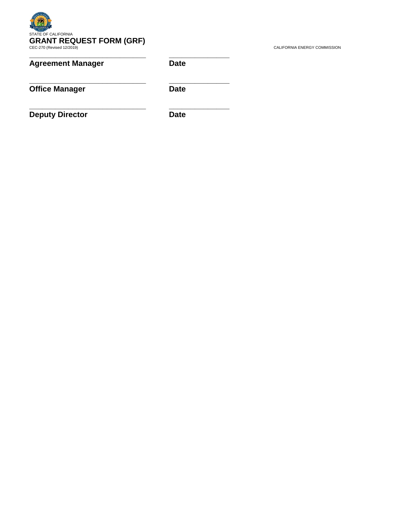# STATE OF CALIFORNIA **GRANT REQUEST FORM (GRF)**<br>CEC-270 (Revised 12/2019) CALIFORNIA ENERGY COMMISSION

**\_\_\_\_\_\_\_\_\_\_\_\_\_\_\_\_\_\_\_\_\_\_\_\_\_\_\_ \_\_\_\_\_\_\_\_\_\_\_\_\_\_**

**\_\_\_\_\_\_\_\_\_\_\_\_\_\_\_\_\_\_\_\_\_\_\_\_\_\_\_ \_\_\_\_\_\_\_\_\_\_\_\_\_\_**

**\_\_\_\_\_\_\_\_\_\_\_\_\_\_\_\_\_\_\_\_\_\_\_\_\_\_\_ \_\_\_\_\_\_\_\_\_\_\_\_\_\_**

# **Agreement Manager Date**

**Office Manager** Date

**Deputy Director Date**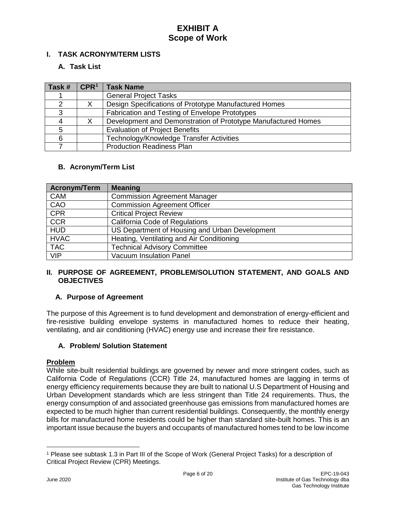# **I. TASK ACRONYM/TERM LISTS**

# **A. Task List**

| Task #        | CPR <sup>1</sup> | <b>Task Name</b>                                              |
|---------------|------------------|---------------------------------------------------------------|
|               |                  | <b>General Project Tasks</b>                                  |
| $\mathcal{P}$ |                  | Design Specifications of Prototype Manufactured Homes         |
| 3             |                  | Fabrication and Testing of Envelope Prototypes                |
|               |                  | Development and Demonstration of Prototype Manufactured Homes |
| 5             |                  | <b>Evaluation of Project Benefits</b>                         |
| 6             |                  | Technology/Knowledge Transfer Activities                      |
|               |                  | <b>Production Readiness Plan</b>                              |

# **B. Acronym/Term List**

| <b>Acronym/Term</b> | <b>Meaning</b>                                 |
|---------------------|------------------------------------------------|
| <b>CAM</b>          | <b>Commission Agreement Manager</b>            |
| CAO                 | <b>Commission Agreement Officer</b>            |
| <b>CPR</b>          | <b>Critical Project Review</b>                 |
| <b>CCR</b>          | California Code of Regulations                 |
| <b>HUD</b>          | US Department of Housing and Urban Development |
| <b>HVAC</b>         | Heating, Ventilating and Air Conditioning      |
| <b>TAC</b>          | <b>Technical Advisory Committee</b>            |
| <b>VIP</b>          | <b>Vacuum Insulation Panel</b>                 |

# **II. PURPOSE OF AGREEMENT, PROBLEM/SOLUTION STATEMENT, AND GOALS AND OBJECTIVES**

# **A. Purpose of Agreement**

The purpose of this Agreement is to fund development and demonstration of energy-efficient and fire-resistive building envelope systems in manufactured homes to reduce their heating, ventilating, and air conditioning (HVAC) energy use and increase their fire resistance.

# **A. Problem/ Solution Statement**

#### **Problem**

While site-built residential buildings are governed by newer and more stringent codes, such as California Code of Regulations (CCR) Title 24, manufactured homes are lagging in terms of energy efficiency requirements because they are built to national U.S Department of Housing and Urban Development standards which are less stringent than Title 24 requirements. Thus, the energy consumption of and associated greenhouse gas emissions from manufactured homes are expected to be much higher than current residential buildings. Consequently, the monthly energy bills for manufactured home residents could be higher than standard site-built homes. This is an important issue because the buyers and occupants of manufactured homes tend to be low income

 $\overline{a}$ 

<span id="page-4-0"></span><sup>1</sup> Please see subtask 1.3 in Part III of the Scope of Work (General Project Tasks) for a description of Critical Project Review (CPR) Meetings.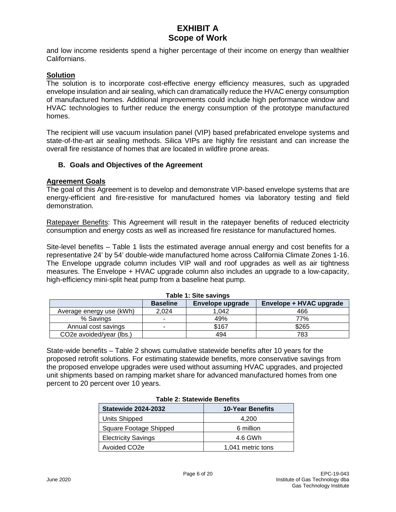and low income residents spend a higher percentage of their income on energy than wealthier Californians.

#### **Solution**

The solution is to incorporate cost-effective energy efficiency measures, such as upgraded envelope insulation and air sealing, which can dramatically reduce the HVAC energy consumption of manufactured homes. Additional improvements could include high performance window and HVAC technologies to further reduce the energy consumption of the prototype manufactured homes.

The recipient will use vacuum insulation panel (VIP) based prefabricated envelope systems and state-of-the-art air sealing methods. Silica VIPs are highly fire resistant and can increase the overall fire resistance of homes that are located in wildfire prone areas.

#### **B. Goals and Objectives of the Agreement**

#### **Agreement Goals**

The goal of this Agreement is to develop and demonstrate VIP-based envelope systems that are energy-efficient and fire-resistive for manufactured homes via laboratory testing and field demonstration.

Ratepayer Benefits: This Agreement will result in the ratepayer benefits of reduced electricity consumption and energy costs as well as increased fire resistance for manufactured homes.

Site-level benefits – Table 1 lists the estimated average annual energy and cost benefits for a representative 24' by 54' double-wide manufactured home across California Climate Zones 1-16. The Envelope upgrade column includes VIP wall and roof upgrades as well as air tightness measures. The Envelope + HVAC upgrade column also includes an upgrade to a low-capacity, high-efficiency mini-split heat pump from a baseline heat pump.

| $1800 - 1.910$                        |                          |                  |                         |  |
|---------------------------------------|--------------------------|------------------|-------------------------|--|
|                                       | <b>Baseline</b>          | Envelope upgrade | Envelope + HVAC upgrade |  |
| Average energy use (kWh)              | 2.024                    | 1.042            | 466                     |  |
| % Savings                             | $\overline{\phantom{a}}$ | 49%              | 77%                     |  |
| Annual cost savings                   |                          | \$167            | \$265                   |  |
| CO <sub>2</sub> e avoided/year (lbs.) |                          | 494              | 783                     |  |

### **Table 1: Site savings**

State-wide benefits *–* Table 2 shows cumulative statewide benefits after 10 years for the proposed retrofit solutions. For estimating statewide benefits, more conservative savings from the proposed envelope upgrades were used without assuming HVAC upgrades, and projected unit shipments based on ramping market share for advanced manufactured homes from one percent to 20 percent over 10 years.

| Table 2. Statewide Belleins |                         |  |  |
|-----------------------------|-------------------------|--|--|
| <b>Statewide 2024-2032</b>  | <b>10-Year Benefits</b> |  |  |
| <b>Units Shipped</b>        | 4,200                   |  |  |
| Square Footage Shipped      | 6 million               |  |  |
| <b>Electricity Savings</b>  | 4.6 GWh                 |  |  |
| Avoided CO <sub>2</sub> e   | 1,041 metric tons       |  |  |

# **Table 2: Statewide Benefits**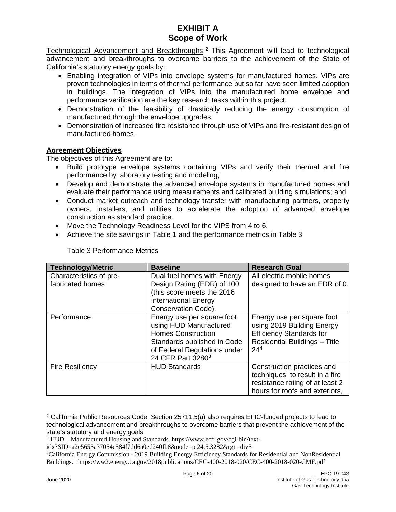Technological Advancement and Breakthroughs:<sup>[2](#page-6-0)</sup> This Agreement will lead to technological advancement and breakthroughs to overcome barriers to the achievement of the State of California's statutory energy goals by:

- Enabling integration of VIPs into envelope systems for manufactured homes. VIPs are proven technologies in terms of thermal performance but so far have seen limited adoption in buildings. The integration of VIPs into the manufactured home envelope and performance verification are the key research tasks within this project.
- Demonstration of the feasibility of drastically reducing the energy consumption of manufactured through the envelope upgrades.
- Demonstration of increased fire resistance through use of VIPs and fire-resistant design of manufactured homes.

# **Agreement Objectives**

The objectives of this Agreement are to:

- Build prototype envelope systems containing VIPs and verify their thermal and fire performance by laboratory testing and modeling;
- Develop and demonstrate the advanced envelope systems in manufactured homes and evaluate their performance using measurements and calibrated building simulations; and
- Conduct market outreach and technology transfer with manufacturing partners, property owners, installers, and utilities to accelerate the adoption of advanced envelope construction as standard practice.
- Move the Technology Readiness Level for the VIPS from 4 to 6.
- Achieve the site savings in Table 1 and the performance metrics in Table 3

| <b>Technology/Metric</b>                    | <b>Baseline</b>                                                                                                                                                                   | <b>Research Goal</b>                                                                                                                                   |
|---------------------------------------------|-----------------------------------------------------------------------------------------------------------------------------------------------------------------------------------|--------------------------------------------------------------------------------------------------------------------------------------------------------|
| Characteristics of pre-<br>fabricated homes | Dual fuel homes with Energy<br>Design Rating (EDR) of 100<br>(this score meets the 2016<br><b>International Energy</b><br>Conservation Code).                                     | All electric mobile homes<br>designed to have an EDR of 0.                                                                                             |
| Performance                                 | Energy use per square foot<br>using HUD Manufactured<br><b>Homes Construction</b><br>Standards published in Code<br>of Federal Regulations under<br>24 CFR Part 3280 <sup>3</sup> | Energy use per square foot<br>using 2019 Building Energy<br><b>Efficiency Standards for</b><br><b>Residential Buildings - Title</b><br>24 <sup>4</sup> |
| <b>Fire Resiliency</b>                      | <b>HUD Standards</b>                                                                                                                                                              | Construction practices and<br>techniques to result in a fire<br>resistance rating of at least 2<br>hours for roofs and exteriors,                      |

Table 3 Performance Metrics

<span id="page-6-0"></span> $\overline{a}$ <sup>2</sup> California Public Resources Code, Section 25711.5(a) also requires EPIC-funded projects to lead to technological advancement and breakthroughs to overcome barriers that prevent the achievement of the state's statutory and energy goals.

<span id="page-6-1"></span><sup>3</sup> HUD – Manufactured Housing and Standards. https://www.ecfr.gov/cgi-bin/text-

idx?SID=a2c5655a37054c584f7dd6a0ed240fb8&node=pt24.5.3282&rgn=div5

<span id="page-6-2"></span><sup>4</sup> California Energy Commission - 2019 Building Energy Efficiency Standards for Residential and NonResidential Buildings. https://ww2.energy.ca.gov/2018publications/CEC-400-2018-020/CEC-400-2018-020-CMF.pdf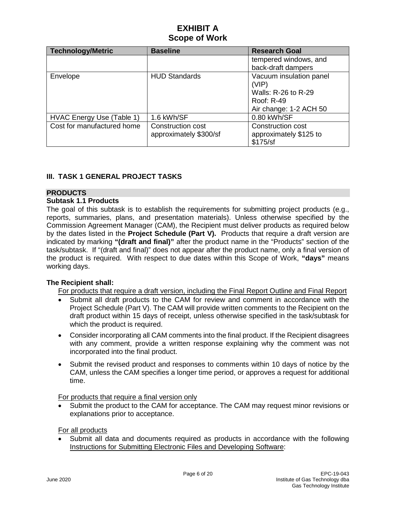| <b>Technology/Metric</b>   | <b>Baseline</b>        | <b>Research Goal</b>    |
|----------------------------|------------------------|-------------------------|
|                            |                        | tempered windows, and   |
|                            |                        | back-draft dampers      |
| Envelope                   | <b>HUD Standards</b>   | Vacuum insulation panel |
|                            |                        | (VIP)                   |
|                            |                        | Walls: R-26 to R-29     |
|                            |                        | Roof: R-49              |
|                            |                        | Air change: 1-2 ACH 50  |
| HVAC Energy Use (Table 1)  | 1.6 kWh/SF             | 0.80 kWh/SF             |
| Cost for manufactured home | Construction cost      | Construction cost       |
|                            | approximately \$300/sf | approximately \$125 to  |
|                            |                        | \$175/sf                |

# **III. TASK 1 GENERAL PROJECT TASKS**

# **PRODUCTS**

#### **Subtask 1.1 Products**

The goal of this subtask is to establish the requirements for submitting project products (e.g., reports, summaries, plans, and presentation materials). Unless otherwise specified by the Commission Agreement Manager (CAM), the Recipient must deliver products as required below by the dates listed in the **Project Schedule (Part V).** Products that require a draft version are indicated by marking **"(draft and final)"** after the product name in the "Products" section of the task/subtask. If "(draft and final)" does not appear after the product name, only a final version of the product is required. With respect to due dates within this Scope of Work, **"days"** means working days.

# **The Recipient shall:**

For products that require a draft version, including the Final Report Outline and Final Report

- Submit all draft products to the CAM for review and comment in accordance with the Project Schedule (Part V). The CAM will provide written comments to the Recipient on the draft product within 15 days of receipt, unless otherwise specified in the task/subtask for which the product is required.
- Consider incorporating all CAM comments into the final product. If the Recipient disagrees with any comment, provide a written response explaining why the comment was not incorporated into the final product.
- Submit the revised product and responses to comments within 10 days of notice by the CAM, unless the CAM specifies a longer time period, or approves a request for additional time.

For products that require a final version only

• Submit the product to the CAM for acceptance. The CAM may request minor revisions or explanations prior to acceptance.

For all products

Submit all data and documents required as products in accordance with the following Instructions for Submitting Electronic Files and Developing Software: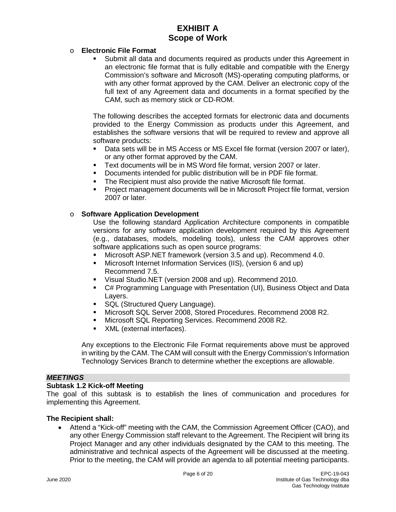#### o **Electronic File Format**

 Submit all data and documents required as products under this Agreement in an electronic file format that is fully editable and compatible with the Energy Commission's software and Microsoft (MS)-operating computing platforms, or with any other format approved by the CAM. Deliver an electronic copy of the full text of any Agreement data and documents in a format specified by the CAM, such as memory stick or CD-ROM.

The following describes the accepted formats for electronic data and documents provided to the Energy Commission as products under this Agreement, and establishes the software versions that will be required to review and approve all software products:

- Data sets will be in MS Access or MS Excel file format (version 2007 or later), or any other format approved by the CAM.
- Text documents will be in MS Word file format, version 2007 or later.
- Documents intended for public distribution will be in PDF file format.
- **The Recipient must also provide the native Microsoft file format.**
- Project management documents will be in Microsoft Project file format, version 2007 or later.

#### o **Software Application Development**

Use the following standard Application Architecture components in compatible versions for any software application development required by this Agreement (e.g., databases, models, modeling tools), unless the CAM approves other software applications such as open source programs:

- Microsoft ASP.NET framework (version 3.5 and up). Recommend 4.0.
- Microsoft Internet Information Services (IIS), (version 6 and up) Recommend 7.5.
- Visual Studio.NET (version 2008 and up). Recommend 2010.
- C# Programming Language with Presentation (UI), Business Object and Data Layers.
- **SQL (Structured Query Language).**
- Microsoft SQL Server 2008, Stored Procedures. Recommend 2008 R2.
- **Microsoft SQL Reporting Services. Recommend 2008 R2.**
- **XML** (external interfaces).

Any exceptions to the Electronic File Format requirements above must be approved in writing by the CAM. The CAM will consult with the Energy Commission's Information Technology Services Branch to determine whether the exceptions are allowable.

#### *MEETINGS*

#### **Subtask 1.2 Kick-off Meeting**

The goal of this subtask is to establish the lines of communication and procedures for implementing this Agreement.

#### **The Recipient shall:**

• Attend a "Kick-off" meeting with the CAM, the Commission Agreement Officer (CAO), and any other Energy Commission staff relevant to the Agreement. The Recipient will bring its Project Manager and any other individuals designated by the CAM to this meeting. The administrative and technical aspects of the Agreement will be discussed at the meeting. Prior to the meeting, the CAM will provide an agenda to all potential meeting participants.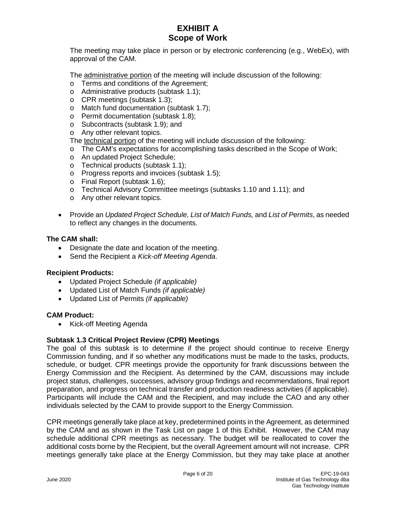The meeting may take place in person or by electronic conferencing (e.g., WebEx), with approval of the CAM.

The administrative portion of the meeting will include discussion of the following:

- o Terms and conditions of the Agreement;
- o Administrative products (subtask 1.1);
- o CPR meetings (subtask 1.3);
- o Match fund documentation (subtask 1.7);
- o Permit documentation (subtask 1.8);
- o Subcontracts (subtask 1.9); and
- o Any other relevant topics.

The technical portion of the meeting will include discussion of the following:

- o The CAM's expectations for accomplishing tasks described in the Scope of Work;
- o An updated Project Schedule;
- o Technical products (subtask 1.1);
- o Progress reports and invoices (subtask 1.5);
- o Final Report (subtask 1.6);
- o Technical Advisory Committee meetings (subtasks 1.10 and 1.11); and
- o Any other relevant topics.
- Provide an *Updated Project Schedule, List of Match Funds,* and *List of Permits*, as needed to reflect any changes in the documents.

#### **The CAM shall:**

- Designate the date and location of the meeting.
- Send the Recipient a *Kick-off Meeting Agenda*.

#### **Recipient Products:**

- Updated Project Schedule *(if applicable)*
- Updated List of Match Funds *(if applicable)*
- Updated List of Permits *(if applicable)*

#### **CAM Product:**

• Kick-off Meeting Agenda

#### **Subtask 1.3 Critical Project Review (CPR) Meetings**

The goal of this subtask is to determine if the project should continue to receive Energy Commission funding, and if so whether any modifications must be made to the tasks, products, schedule, or budget. CPR meetings provide the opportunity for frank discussions between the Energy Commission and the Recipient. As determined by the CAM, discussions may include project status, challenges, successes, advisory group findings and recommendations, final report preparation, and progress on technical transfer and production readiness activities (if applicable). Participants will include the CAM and the Recipient, and may include the CAO and any other individuals selected by the CAM to provide support to the Energy Commission.

CPR meetings generally take place at key, predetermined points in the Agreement, as determined by the CAM and as shown in the Task List on page 1 of this Exhibit. However, the CAM may schedule additional CPR meetings as necessary. The budget will be reallocated to cover the additional costs borne by the Recipient, but the overall Agreement amount will not increase. CPR meetings generally take place at the Energy Commission, but they may take place at another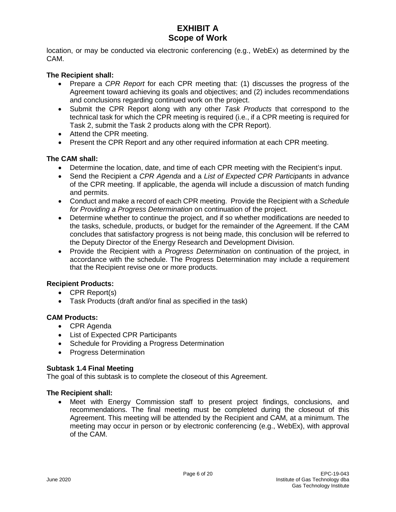location, or may be conducted via electronic conferencing (e.g., WebEx) as determined by the CAM.

### **The Recipient shall:**

- Prepare a *CPR Report* for each CPR meeting that: (1) discusses the progress of the Agreement toward achieving its goals and objectives; and (2) includes recommendations and conclusions regarding continued work on the project.
- Submit the CPR Report along with any other *Task Products* that correspond to the technical task for which the CPR meeting is required (i.e., if a CPR meeting is required for Task 2, submit the Task 2 products along with the CPR Report).
- Attend the CPR meeting.
- Present the CPR Report and any other required information at each CPR meeting.

#### **The CAM shall:**

- Determine the location, date, and time of each CPR meeting with the Recipient's input.
- Send the Recipient a *CPR Agenda* and a *List of Expected CPR Participants* in advance of the CPR meeting. If applicable, the agenda will include a discussion of match funding and permits.
- Conduct and make a record of each CPR meeting. Provide the Recipient with a *Schedule for Providing a Progress Determination* on continuation of the project.
- Determine whether to continue the project, and if so whether modifications are needed to the tasks, schedule, products, or budget for the remainder of the Agreement. If the CAM concludes that satisfactory progress is not being made, this conclusion will be referred to the Deputy Director of the Energy Research and Development Division.
- Provide the Recipient with a *Progress Determination* on continuation of the project, in accordance with the schedule. The Progress Determination may include a requirement that the Recipient revise one or more products.

#### **Recipient Products:**

- CPR Report(s)
- Task Products (draft and/or final as specified in the task)

#### **CAM Products:**

- CPR Agenda
- List of Expected CPR Participants
- Schedule for Providing a Progress Determination
- Progress Determination

#### **Subtask 1.4 Final Meeting**

The goal of this subtask is to complete the closeout of this Agreement.

#### **The Recipient shall:**

Meet with Energy Commission staff to present project findings, conclusions, and recommendations. The final meeting must be completed during the closeout of this Agreement. This meeting will be attended by the Recipient and CAM, at a minimum. The meeting may occur in person or by electronic conferencing (e.g., WebEx), with approval of the CAM.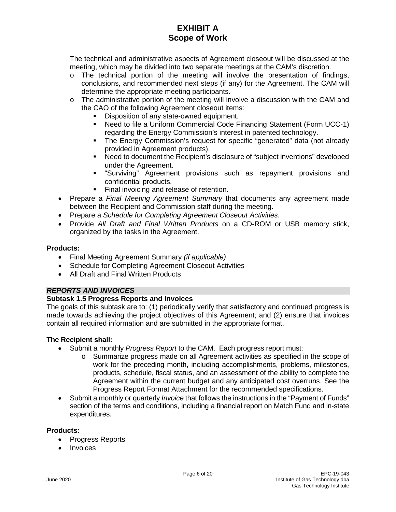The technical and administrative aspects of Agreement closeout will be discussed at the meeting, which may be divided into two separate meetings at the CAM's discretion.

- $\circ$  The technical portion of the meeting will involve the presentation of findings, conclusions, and recommended next steps (if any) for the Agreement. The CAM will determine the appropriate meeting participants.
- $\circ$  The administrative portion of the meeting will involve a discussion with the CAM and the CAO of the following Agreement closeout items:
	- Disposition of any state-owned equipment.
	- Need to file a Uniform Commercial Code Financing Statement (Form UCC-1) regarding the Energy Commission's interest in patented technology.
	- The Energy Commission's request for specific "generated" data (not already provided in Agreement products).
	- Need to document the Recipient's disclosure of "subject inventions" developed under the Agreement.
	- "Surviving" Agreement provisions such as repayment provisions and confidential products.
	- Final invoicing and release of retention.
- Prepare a *Final Meeting Agreement Summary* that documents any agreement made between the Recipient and Commission staff during the meeting.
- Prepare a *Schedule for Completing Agreement Closeout Activities*.
- Provide *All Draft and Final Written Products* on a CD-ROM or USB memory stick, organized by the tasks in the Agreement.

#### **Products:**

- Final Meeting Agreement Summary *(if applicable)*
- Schedule for Completing Agreement Closeout Activities
- All Draft and Final Written Products

# *REPORTS AND INVOICES*

# **Subtask 1.5 Progress Reports and Invoices**

The goals of this subtask are to: (1) periodically verify that satisfactory and continued progress is made towards achieving the project objectives of this Agreement; and (2) ensure that invoices contain all required information and are submitted in the appropriate format.

# **The Recipient shall:**

- Submit a monthly *Progress Report* to the CAM. Each progress report must:
	- o Summarize progress made on all Agreement activities as specified in the scope of work for the preceding month, including accomplishments, problems, milestones, products, schedule, fiscal status, and an assessment of the ability to complete the Agreement within the current budget and any anticipated cost overruns. See the Progress Report Format Attachment for the recommended specifications.
- Submit a monthly or quarterly *Invoice* that follows the instructions in the "Payment of Funds" section of the terms and conditions, including a financial report on Match Fund and in-state expenditures.

#### **Products:**

- Progress Reports
- Invoices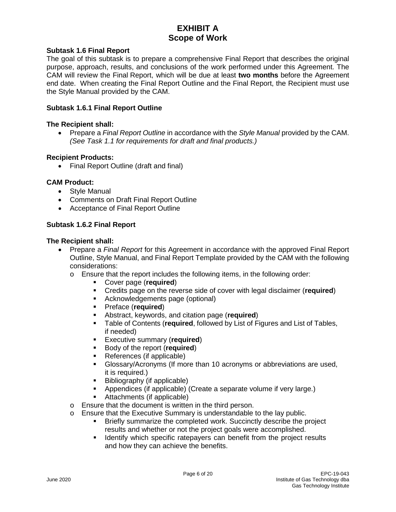#### **Subtask 1.6 Final Report**

The goal of this subtask is to prepare a comprehensive Final Report that describes the original purpose, approach, results, and conclusions of the work performed under this Agreement. The CAM will review the Final Report, which will be due at least **two months** before the Agreement end date. When creating the Final Report Outline and the Final Report, the Recipient must use the Style Manual provided by the CAM.

#### **Subtask 1.6.1 Final Report Outline**

#### **The Recipient shall:**

• Prepare a *Final Report Outline* in accordance with the *Style Manual* provided by the CAM. *(See Task 1.1 for requirements for draft and final products.)*

#### **Recipient Products:**

• Final Report Outline (draft and final)

#### **CAM Product:**

- Style Manual
- Comments on Draft Final Report Outline
- Acceptance of Final Report Outline

#### **Subtask 1.6.2 Final Report**

#### **The Recipient shall:**

- Prepare a *Final Report* for this Agreement in accordance with the approved Final Report Outline, Style Manual, and Final Report Template provided by the CAM with the following considerations:
	- o Ensure that the report includes the following items, in the following order:
		- Cover page (**required**)
		- Credits page on the reverse side of cover with legal disclaimer (**required**)
		- Acknowledgements page (optional)
		- Preface (**required**)
		- Abstract, keywords, and citation page (**required**)
		- Table of Contents (**required**, followed by List of Figures and List of Tables, if needed)
		- Executive summary (**required**)
		- Body of the report (**required**)
		- References (if applicable)
		- Glossary/Acronyms (If more than 10 acronyms or abbreviations are used, it is required.)
		- Bibliography (if applicable)
		- Appendices (if applicable) (Create a separate volume if very large.)
		- Attachments (if applicable)
	- o Ensure that the document is written in the third person.
	- o Ensure that the Executive Summary is understandable to the lay public.<br>• Rriefly summarize the completed work Succinctly describe the p
		- Briefly summarize the completed work. Succinctly describe the project results and whether or not the project goals were accomplished.
		- **If Identify which specific ratepayers can benefit from the project results** and how they can achieve the benefits.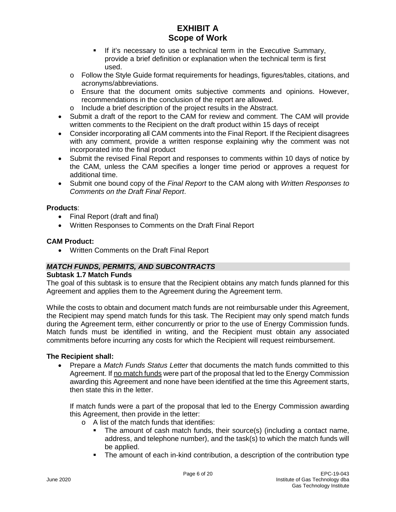- If it's necessary to use a technical term in the Executive Summary, provide a brief definition or explanation when the technical term is first used.
- o Follow the Style Guide format requirements for headings, figures/tables, citations, and acronyms/abbreviations.
- o Ensure that the document omits subjective comments and opinions. However, recommendations in the conclusion of the report are allowed.
- o Include a brief description of the project results in the Abstract.
- Submit a draft of the report to the CAM for review and comment. The CAM will provide written comments to the Recipient on the draft product within 15 days of receipt
- Consider incorporating all CAM comments into the Final Report. If the Recipient disagrees with any comment, provide a written response explaining why the comment was not incorporated into the final product
- Submit the revised Final Report and responses to comments within 10 days of notice by the CAM, unless the CAM specifies a longer time period or approves a request for additional time.
- Submit one bound copy of the *Final Report* to the CAM along with *Written Responses to Comments on the Draft Final Report*.

# **Products**:

- Final Report (draft and final)
- Written Responses to Comments on the Draft Final Report

# **CAM Product:**

• Written Comments on the Draft Final Report

# *MATCH FUNDS, PERMITS, AND SUBCONTRACTS*

#### **Subtask 1.7 Match Funds**

The goal of this subtask is to ensure that the Recipient obtains any match funds planned for this Agreement and applies them to the Agreement during the Agreement term.

While the costs to obtain and document match funds are not reimbursable under this Agreement, the Recipient may spend match funds for this task. The Recipient may only spend match funds during the Agreement term, either concurrently or prior to the use of Energy Commission funds. Match funds must be identified in writing, and the Recipient must obtain any associated commitments before incurring any costs for which the Recipient will request reimbursement.

#### **The Recipient shall:**

• Prepare a *Match Funds Status Letter* that documents the match funds committed to this Agreement. If no match funds were part of the proposal that led to the Energy Commission awarding this Agreement and none have been identified at the time this Agreement starts, then state this in the letter.

If match funds were a part of the proposal that led to the Energy Commission awarding this Agreement, then provide in the letter:

- o A list of the match funds that identifies:
	- The amount of cash match funds, their source(s) (including a contact name, address, and telephone number), and the task(s) to which the match funds will be applied.
	- The amount of each in-kind contribution, a description of the contribution type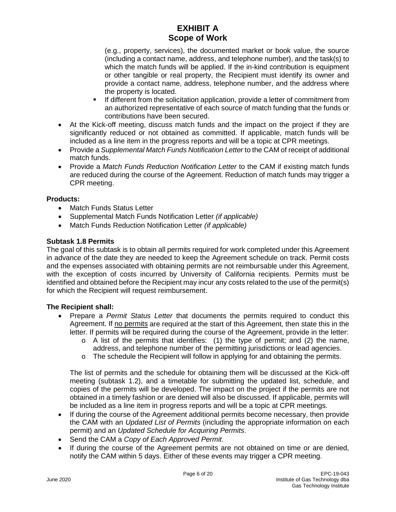(e.g., property, services), the documented market or book value, the source (including a contact name, address, and telephone number), and the task(s) to which the match funds will be applied. If the in-kind contribution is equipment or other tangible or real property, the Recipient must identify its owner and provide a contact name, address, telephone number, and the address where the property is located.

- If different from the solicitation application, provide a letter of commitment from an authorized representative of each source of match funding that the funds or contributions have been secured.
- At the Kick-off meeting, discuss match funds and the impact on the project if they are significantly reduced or not obtained as committed. If applicable, match funds will be included as a line item in the progress reports and will be a topic at CPR meetings.
- Provide a *Supplemental Match Funds Notification Letter* to the CAM of receipt of additional match funds.
- Provide a *Match Funds Reduction Notification Letter* to the CAM if existing match funds are reduced during the course of the Agreement. Reduction of match funds may trigger a CPR meeting.

# **Products:**

- Match Funds Status Letter
- Supplemental Match Funds Notification Letter *(if applicable)*
- Match Funds Reduction Notification Letter *(if applicable)*

# **Subtask 1.8 Permits**

The goal of this subtask is to obtain all permits required for work completed under this Agreement in advance of the date they are needed to keep the Agreement schedule on track. Permit costs and the expenses associated with obtaining permits are not reimbursable under this Agreement, with the exception of costs incurred by University of California recipients. Permits must be identified and obtained before the Recipient may incur any costs related to the use of the permit(s) for which the Recipient will request reimbursement.

# **The Recipient shall:**

- Prepare a *Permit Status Letter* that documents the permits required to conduct this Agreement. If no permits are required at the start of this Agreement, then state this in the letter. If permits will be required during the course of the Agreement, provide in the letter:
	- $\circ$  A list of the permits that identifies: (1) the type of permit; and (2) the name, address, and telephone number of the permitting jurisdictions or lead agencies.
	- $\circ$  The schedule the Recipient will follow in applying for and obtaining the permits.

The list of permits and the schedule for obtaining them will be discussed at the Kick-off meeting (subtask 1.2), and a timetable for submitting the updated list, schedule, and copies of the permits will be developed. The impact on the project if the permits are not obtained in a timely fashion or are denied will also be discussed. If applicable, permits will be included as a line item in progress reports and will be a topic at CPR meetings.

- If during the course of the Agreement additional permits become necessary, then provide the CAM with an *Updated List of Permits* (including the appropriate information on each permit) and an *Updated Schedule for Acquiring Permits*.
- Send the CAM a *Copy of Each Approved Permit*.
- If during the course of the Agreement permits are not obtained on time or are denied, notify the CAM within 5 days. Either of these events may trigger a CPR meeting.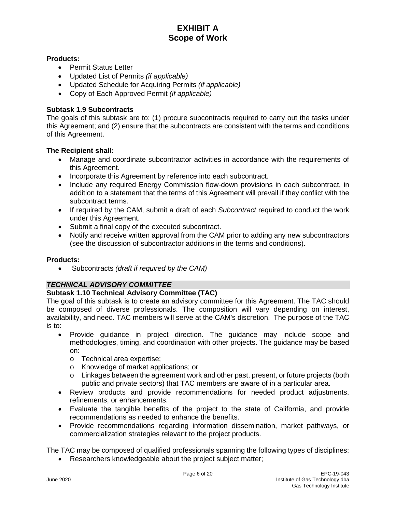# **Products:**

- Permit Status Letter
- Updated List of Permits *(if applicable)*
- Updated Schedule for Acquiring Permits *(if applicable)*
- Copy of Each Approved Permit *(if applicable)*

### **Subtask 1.9 Subcontracts**

The goals of this subtask are to: (1) procure subcontracts required to carry out the tasks under this Agreement; and (2) ensure that the subcontracts are consistent with the terms and conditions of this Agreement.

#### **The Recipient shall:**

- Manage and coordinate subcontractor activities in accordance with the requirements of this Agreement.
- Incorporate this Agreement by reference into each subcontract.
- Include any required Energy Commission flow-down provisions in each subcontract, in addition to a statement that the terms of this Agreement will prevail if they conflict with the subcontract terms.
- If required by the CAM, submit a draft of each *Subcontract* required to conduct the work under this Agreement.
- Submit a final copy of the executed subcontract.
- Notify and receive written approval from the CAM prior to adding any new subcontractors (see the discussion of subcontractor additions in the terms and conditions).

#### **Products:**

• Subcontracts *(draft if required by the CAM)*

# *TECHNICAL ADVISORY COMMITTEE*

# **Subtask 1.10 Technical Advisory Committee (TAC)**

The goal of this subtask is to create an advisory committee for this Agreement. The TAC should be composed of diverse professionals. The composition will vary depending on interest, availability, and need. TAC members will serve at the CAM's discretion. The purpose of the TAC is to:

- Provide guidance in project direction. The guidance may include scope and methodologies, timing, and coordination with other projects. The guidance may be based on:
	- o Technical area expertise;
	- o Knowledge of market applications; or
	- o Linkages between the agreement work and other past, present, or future projects (both public and private sectors) that TAC members are aware of in a particular area.
- Review products and provide recommendations for needed product adjustments, refinements, or enhancements.
- Evaluate the tangible benefits of the project to the state of California, and provide recommendations as needed to enhance the benefits.
- Provide recommendations regarding information dissemination, market pathways, or commercialization strategies relevant to the project products.

The TAC may be composed of qualified professionals spanning the following types of disciplines:

Researchers knowledgeable about the project subject matter;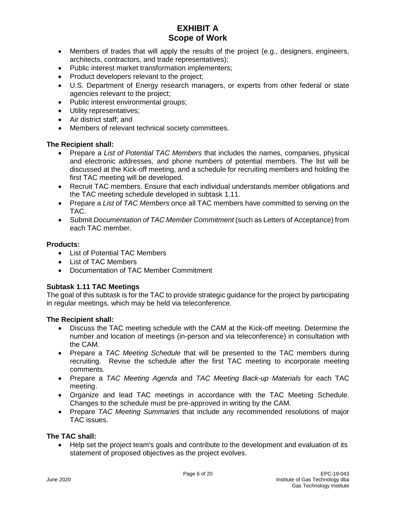- Members of trades that will apply the results of the project (e.g., designers, engineers, architects, contractors, and trade representatives);
- Public interest market transformation implementers;
- Product developers relevant to the project;
- U.S. Department of Energy research managers, or experts from other federal or state agencies relevant to the project;
- Public interest environmental groups;
- Utility representatives;
- Air district staff; and
- Members of relevant technical society committees.

# **The Recipient shall:**

- Prepare a *List of Potential TAC Members* that includes the names, companies, physical and electronic addresses, and phone numbers of potential members. The list will be discussed at the Kick-off meeting, and a schedule for recruiting members and holding the first TAC meeting will be developed.
- Recruit TAC members. Ensure that each individual understands member obligations and the TAC meeting schedule developed in subtask 1.11.
- Prepare a *List of TAC Members* once all TAC members have committed to serving on the TAC.
- Submit *Documentation of TAC Member Commitment* (such as Letters of Acceptance) from each TAC member.

#### **Products:**

- List of Potential TAC Members
- List of TAC Members
- Documentation of TAC Member Commitment

# **Subtask 1.11 TAC Meetings**

The goal of this subtask is for the TAC to provide strategic guidance for the project by participating in regular meetings, which may be held via teleconference.

#### **The Recipient shall:**

- Discuss the TAC meeting schedule with the CAM at the Kick-off meeting. Determine the number and location of meetings (in-person and via teleconference) in consultation with the CAM.
- Prepare a *TAC Meeting Schedule* that will be presented to the TAC members during recruiting. Revise the schedule after the first TAC meeting to incorporate meeting comments.
- Prepare a *TAC Meeting Agenda* and *TAC Meeting Back-up Materials* for each TAC meeting.
- Organize and lead TAC meetings in accordance with the TAC Meeting Schedule. Changes to the schedule must be pre-approved in writing by the CAM.
- Prepare *TAC Meeting Summaries* that include any recommended resolutions of major TAC issues.

# **The TAC shall:**

• Help set the project team's goals and contribute to the development and evaluation of its statement of proposed objectives as the project evolves.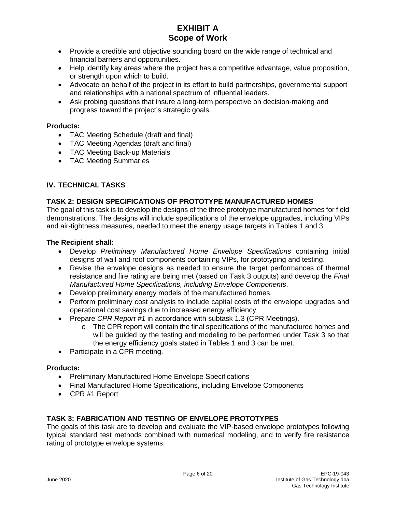- Provide a credible and objective sounding board on the wide range of technical and financial barriers and opportunities.
- Help identify key areas where the project has a competitive advantage, value proposition, or strength upon which to build.
- Advocate on behalf of the project in its effort to build partnerships, governmental support and relationships with a national spectrum of influential leaders.
- Ask probing questions that insure a long-term perspective on decision-making and progress toward the project's strategic goals.

# **Products:**

- TAC Meeting Schedule (draft and final)
- TAC Meeting Agendas (draft and final)
- TAC Meeting Back-up Materials
- TAC Meeting Summaries

# **IV. TECHNICAL TASKS**

# **TASK 2: DESIGN SPECIFICATIONS OF PROTOTYPE MANUFACTURED HOMES**

The goal of this task is to develop the designs of the three prototype manufactured homes for field demonstrations. The designs will include specifications of the envelope upgrades, including VIPs and air-tightness measures, needed to meet the energy usage targets in Tables 1 and 3.

#### **The Recipient shall:**

- Develop *Preliminary Manufactured Home Envelope Specifications* containing initial designs of wall and roof components containing VIPs, for prototyping and testing.
- Revise the envelope designs as needed to ensure the target performances of thermal resistance and fire rating are being met (based on Task 3 outputs) and develop the *Final Manufactured Home Specifications, including Envelope Components*.
- Develop preliminary energy models of the manufactured homes.
- Perform preliminary cost analysis to include capital costs of the envelope upgrades and operational cost savings due to increased energy efficiency.
- Prepare *CPR Report #1* in accordance with subtask 1.3 (CPR Meetings).
	- $\circ$  The CPR report will contain the final specifications of the manufactured homes and will be guided by the testing and modeling to be performed under Task 3 so that the energy efficiency goals stated in Tables 1 and 3 can be met.
- Participate in a CPR meeting.

# **Products:**

- Preliminary Manufactured Home Envelope Specifications
- Final Manufactured Home Specifications, including Envelope Components
- CPR #1 Report

# **TASK 3: FABRICATION AND TESTING OF ENVELOPE PROTOTYPES**

The goals of this task are to develop and evaluate the VIP-based envelope prototypes following typical standard test methods combined with numerical modeling, and to verify fire resistance rating of prototype envelope systems.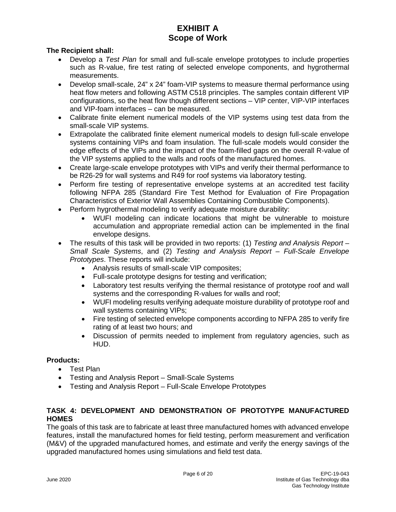# **The Recipient shall:**

- Develop a *Test Plan* for small and full-scale envelope prototypes to include properties such as R-value, fire test rating of selected envelope components, and hygrothermal measurements.
- Develop small-scale, 24" x 24" foam-VIP systems to measure thermal performance using heat flow meters and following ASTM C518 principles. The samples contain different VIP configurations, so the heat flow though different sections – VIP center, VIP-VIP interfaces and VIP-foam interfaces – can be measured.
- Calibrate finite element numerical models of the VIP systems using test data from the small-scale VIP systems.
- Extrapolate the calibrated finite element numerical models to design full-scale envelope systems containing VIPs and foam insulation. The full-scale models would consider the edge effects of the VIPs and the impact of the foam-filled gaps on the overall R-value of the VIP systems applied to the walls and roofs of the manufactured homes.
- Create large-scale envelope prototypes with VIPs and verify their thermal performance to be R26-29 for wall systems and R49 for roof systems via laboratory testing.
- Perform fire testing of representative envelope systems at an accredited test facility following NFPA 285 (Standard Fire Test Method for Evaluation of Fire Propagation Characteristics of Exterior Wall Assemblies Containing Combustible Components).
- Perform hygrothermal modeling to verify adequate moisture durability:
	- WUFI modeling can indicate locations that might be vulnerable to moisture accumulation and appropriate remedial action can be implemented in the final envelope designs.
- The results of this task will be provided in two reports: (1) *Testing and Analysis Report – Small Scale Systems*, and (2) *Testing and Analysis Report – Full-Scale Envelope Prototypes*. These reports will include:
	- Analysis results of small-scale VIP composites;
	- Full-scale prototype designs for testing and verification;
	- Laboratory test results verifying the thermal resistance of prototype roof and wall systems and the corresponding R-values for walls and roof;
	- WUFI modeling results verifying adequate moisture durability of prototype roof and wall systems containing VIPs;
	- Fire testing of selected envelope components according to NFPA 285 to verify fire rating of at least two hours; and
	- Discussion of permits needed to implement from regulatory agencies, such as HUD.

# **Products:**

- Test Plan
- Testing and Analysis Report Small-Scale Systems
- Testing and Analysis Report Full-Scale Envelope Prototypes

# **TASK 4: DEVELOPMENT AND DEMONSTRATION OF PROTOTYPE MANUFACTURED HOMES**

The goals of this task are to fabricate at least three manufactured homes with advanced envelope features, install the manufactured homes for field testing, perform measurement and verification (M&V) of the upgraded manufactured homes, and estimate and verify the energy savings of the upgraded manufactured homes using simulations and field test data.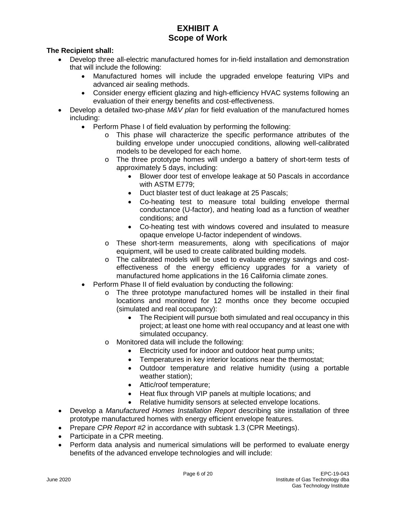# **The Recipient shall:**

- Develop three all-electric manufactured homes for in-field installation and demonstration that will include the following:
	- Manufactured homes will include the upgraded envelope featuring VIPs and advanced air sealing methods.
	- Consider energy efficient glazing and high-efficiency HVAC systems following an evaluation of their energy benefits and cost-effectiveness.
- Develop a detailed two-phase *M&V plan* for field evaluation of the manufactured homes including:
	- Perform Phase I of field evaluation by performing the following:
		- o This phase will characterize the specific performance attributes of the building envelope under unoccupied conditions, allowing well-calibrated models to be developed for each home.
		- o The three prototype homes will undergo a battery of short-term tests of approximately 5 days, including:
			- Blower door test of envelope leakage at 50 Pascals in accordance with ASTM E779;
			- Duct blaster test of duct leakage at 25 Pascals;
			- Co-heating test to measure total building envelope thermal conductance (U-factor), and heating load as a function of weather conditions; and
			- Co-heating test with windows covered and insulated to measure opaque envelope U-factor independent of windows.
		- o These short-term measurements, along with specifications of major equipment, will be used to create calibrated building models.
		- o The calibrated models will be used to evaluate energy savings and costeffectiveness of the energy efficiency upgrades for a variety of manufactured home applications in the 16 California climate zones.
	- Perform Phase II of field evaluation by conducting the following:
		- $\circ$  The three prototype manufactured homes will be installed in their final locations and monitored for 12 months once they become occupied (simulated and real occupancy):
			- The Recipient will pursue both simulated and real occupancy in this project; at least one home with real occupancy and at least one with simulated occupancy.
		- o Monitored data will include the following:
			- Electricity used for indoor and outdoor heat pump units;
			- Temperatures in key interior locations near the thermostat;
			- Outdoor temperature and relative humidity (using a portable weather station);
			- Attic/roof temperature;
			- Heat flux through VIP panels at multiple locations; and
			- Relative humidity sensors at selected envelope locations.
- Develop a *Manufactured Homes Installation Report* describing site installation of three prototype manufactured homes with energy efficient envelope features.
- Prepare *CPR Report #2* in accordance with subtask 1.3 (CPR Meetings).
- Participate in a CPR meeting.
- Perform data analysis and numerical simulations will be performed to evaluate energy benefits of the advanced envelope technologies and will include: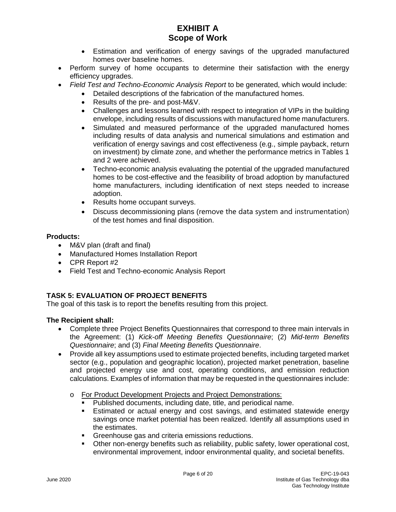- Estimation and verification of energy savings of the upgraded manufactured homes over baseline homes.
- Perform survey of home occupants to determine their satisfaction with the energy efficiency upgrades.
- *Field Test and Techno-Economic Analysis Report* to be generated, which would include:
	- Detailed descriptions of the fabrication of the manufactured homes.
		- Results of the pre- and post-M&V.
		- Challenges and lessons learned with respect to integration of VIPs in the building envelope, including results of discussions with manufactured home manufacturers.
		- Simulated and measured performance of the upgraded manufactured homes including results of data analysis and numerical simulations and estimation and verification of energy savings and cost effectiveness (e.g., simple payback, return on investment) by climate zone, and whether the performance metrics in Tables 1 and 2 were achieved.
		- Techno-economic analysis evaluating the potential of the upgraded manufactured homes to be cost-effective and the feasibility of broad adoption by manufactured home manufacturers, including identification of next steps needed to increase adoption.
		- Results home occupant surveys.
		- Discuss decommissioning plans (remove the data system and instrumentation) of the test homes and final disposition.

# **Products:**

- M&V plan (draft and final)
- Manufactured Homes Installation Report
- CPR Report #2
- Field Test and Techno-economic Analysis Report

# **TASK 5: EVALUATION OF PROJECT BENEFITS**

The goal of this task is to report the benefits resulting from this project.

# **The Recipient shall:**

- Complete three Project Benefits Questionnaires that correspond to three main intervals in the Agreement: (1) *Kick-off Meeting Benefits Questionnaire*; (2) *Mid-term Benefits Questionnaire*; and (3) *Final Meeting Benefits Questionnaire*.
- Provide all key assumptions used to estimate projected benefits, including targeted market sector (e.g., population and geographic location), projected market penetration, baseline and projected energy use and cost, operating conditions, and emission reduction calculations. Examples of information that may be requested in the questionnaires include:
	- o For Product Development Projects and Project Demonstrations:
		- Published documents, including date, title, and periodical name.
		- Estimated or actual energy and cost savings, and estimated statewide energy savings once market potential has been realized. Identify all assumptions used in the estimates.
		- Greenhouse gas and criteria emissions reductions.
		- Other non-energy benefits such as reliability, public safety, lower operational cost, environmental improvement, indoor environmental quality, and societal benefits.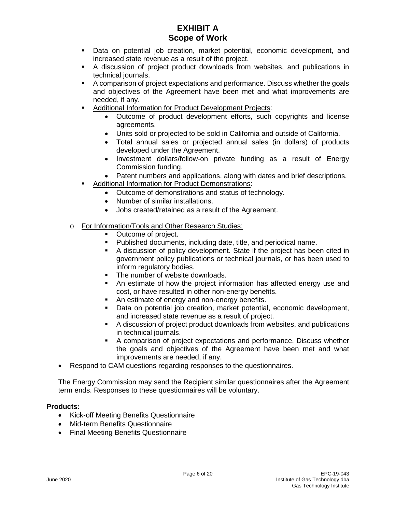- Data on potential job creation, market potential, economic development, and increased state revenue as a result of the project.
- A discussion of project product downloads from websites, and publications in technical journals.
- A comparison of project expectations and performance. Discuss whether the goals and objectives of the Agreement have been met and what improvements are needed, if any.
- Additional Information for Product Development Projects:
	- Outcome of product development efforts, such copyrights and license agreements.
	- Units sold or projected to be sold in California and outside of California.
	- Total annual sales or projected annual sales (in dollars) of products developed under the Agreement.
	- Investment dollars/follow-on private funding as a result of Energy Commission funding.
	- Patent numbers and applications, along with dates and brief descriptions.
- Additional Information for Product Demonstrations:
	- Outcome of demonstrations and status of technology.
	- Number of similar installations.
	- Jobs created/retained as a result of the Agreement.
- o For Information/Tools and Other Research Studies:
	- Outcome of project.
	- Published documents, including date, title, and periodical name.
	- A discussion of policy development. State if the project has been cited in government policy publications or technical journals, or has been used to inform regulatory bodies.
	- **The number of website downloads.**
	- An estimate of how the project information has affected energy use and cost, or have resulted in other non-energy benefits.
	- An estimate of energy and non-energy benefits.
	- Data on potential job creation, market potential, economic development, and increased state revenue as a result of project.
	- A discussion of project product downloads from websites, and publications in technical journals.
	- A comparison of project expectations and performance. Discuss whether the goals and objectives of the Agreement have been met and what improvements are needed, if any.
- Respond to CAM questions regarding responses to the questionnaires.

The Energy Commission may send the Recipient similar questionnaires after the Agreement term ends. Responses to these questionnaires will be voluntary.

#### **Products:**

- Kick-off Meeting Benefits Questionnaire
- Mid-term Benefits Questionnaire
- Final Meeting Benefits Questionnaire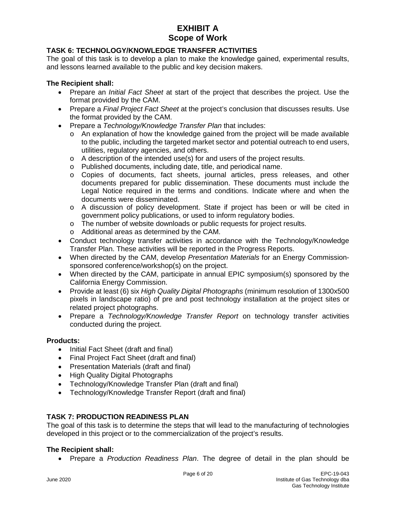# **TASK 6: TECHNOLOGY/KNOWLEDGE TRANSFER ACTIVITIES**

The goal of this task is to develop a plan to make the knowledge gained, experimental results, and lessons learned available to the public and key decision makers.

#### **The Recipient shall:**

- Prepare an *Initial Fact Sheet* at start of the project that describes the project. Use the format provided by the CAM.
- Prepare a *Final Project Fact Sheet* at the project's conclusion that discusses results. Use the format provided by the CAM.
- Prepare a *Technology/Knowledge Transfer Plan* that includes:
	- $\circ$  An explanation of how the knowledge gained from the project will be made available to the public, including the targeted market sector and potential outreach to end users, utilities, regulatory agencies, and others.
	- $\circ$  A description of the intended use(s) for and users of the project results.
	- o Published documents, including date, title, and periodical name.
	- o Copies of documents, fact sheets, journal articles, press releases, and other documents prepared for public dissemination. These documents must include the Legal Notice required in the terms and conditions. Indicate where and when the documents were disseminated.
	- o A discussion of policy development. State if project has been or will be cited in government policy publications, or used to inform regulatory bodies.
	- o The number of website downloads or public requests for project results.
	- o Additional areas as determined by the CAM.
- Conduct technology transfer activities in accordance with the Technology/Knowledge Transfer Plan. These activities will be reported in the Progress Reports.
- When directed by the CAM, develop *Presentation Materials* for an Energy Commissionsponsored conference/workshop(s) on the project.
- When directed by the CAM, participate in annual EPIC symposium(s) sponsored by the California Energy Commission.
- Provide at least (6) six *High Quality Digital Photographs* (minimum resolution of 1300x500 pixels in landscape ratio) of pre and post technology installation at the project sites or related project photographs.
- Prepare a *Technology/Knowledge Transfer Report* on technology transfer activities conducted during the project.

# **Products:**

- Initial Fact Sheet (draft and final)
- Final Project Fact Sheet (draft and final)
- Presentation Materials (draft and final)
- High Quality Digital Photographs
- Technology/Knowledge Transfer Plan (draft and final)
- Technology/Knowledge Transfer Report (draft and final)

# **TASK 7: PRODUCTION READINESS PLAN**

The goal of this task is to determine the steps that will lead to the manufacturing of technologies developed in this project or to the commercialization of the project's results.

#### **The Recipient shall:**

• Prepare a *Production Readiness Plan*. The degree of detail in the plan should be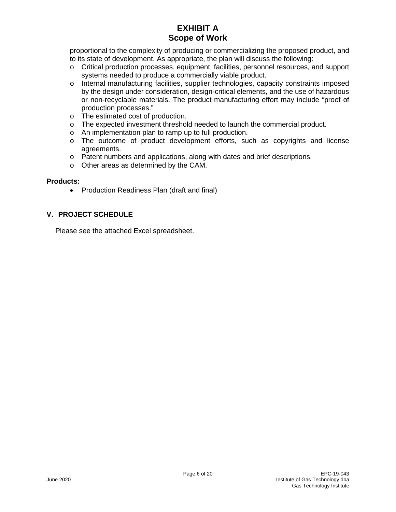proportional to the complexity of producing or commercializing the proposed product, and to its state of development. As appropriate, the plan will discuss the following:

- o Critical production processes, equipment, facilities, personnel resources, and support systems needed to produce a commercially viable product.
- o Internal manufacturing facilities, supplier technologies, capacity constraints imposed by the design under consideration, design-critical elements, and the use of hazardous or non-recyclable materials. The product manufacturing effort may include "proof of production processes."
- o The estimated cost of production.
- o The expected investment threshold needed to launch the commercial product.
- o An implementation plan to ramp up to full production.
- o The outcome of product development efforts, such as copyrights and license agreements.
- o Patent numbers and applications, along with dates and brief descriptions.
- o Other areas as determined by the CAM.

#### **Products:**

• Production Readiness Plan (draft and final)

# **V. PROJECT SCHEDULE**

Please see the attached Excel spreadsheet.